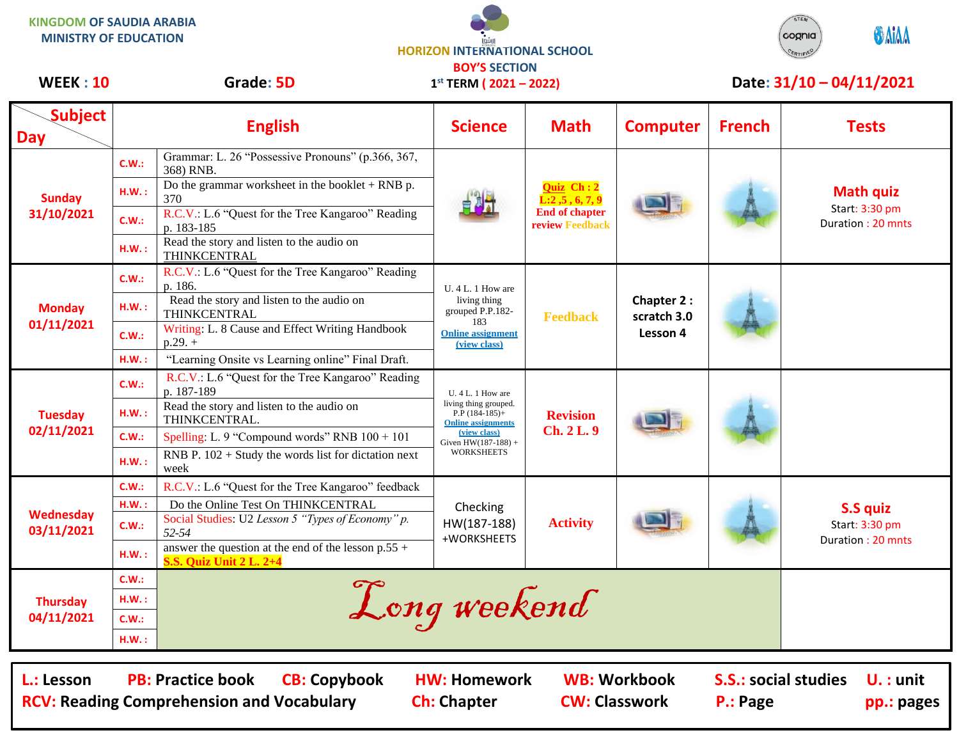**KINGDOM OF SAUDIA ARABIA MINISTRY OF EDUCATION**

**HORIZON INTERNATIONAL SCHOOL BOY'S SECTION 1 st TERM ( 2021 – 2022)**



## WEEK : 10 Grade: 5D 1<sup>st</sup> TERM (2021 – 2022) Date: 31/10 – 04/11/2021

| <b>Subject</b><br><b>Day</b>                                                                                                                                                                                                                                                          |       | <b>English</b>                                                                          | <b>Science</b>                                                                                                                                            | <b>Math</b>                                                                                   | <b>Computer</b>                       | <b>French</b> | <b>Tests</b>                                            |  |
|---------------------------------------------------------------------------------------------------------------------------------------------------------------------------------------------------------------------------------------------------------------------------------------|-------|-----------------------------------------------------------------------------------------|-----------------------------------------------------------------------------------------------------------------------------------------------------------|-----------------------------------------------------------------------------------------------|---------------------------------------|---------------|---------------------------------------------------------|--|
| <b>Sunday</b><br>31/10/2021                                                                                                                                                                                                                                                           | C.W.: | Grammar: L. 26 "Possessive Pronouns" (p.366, 367,<br>368) RNB.                          |                                                                                                                                                           | <b>Quiz</b> Ch: 2<br>$\overline{L:2,5}$ , 6, 7, 9<br><b>End of chapter</b><br>review Feedback |                                       |               |                                                         |  |
|                                                                                                                                                                                                                                                                                       | H.W.: | Do the grammar worksheet in the booklet $+$ RNB p.<br>370                               |                                                                                                                                                           |                                                                                               |                                       |               | <b>Math quiz</b><br>Start: 3:30 pm<br>Duration: 20 mnts |  |
|                                                                                                                                                                                                                                                                                       | C.W.: | R.C.V.: L.6 "Quest for the Tree Kangaroo" Reading<br>p. 183-185                         |                                                                                                                                                           |                                                                                               |                                       |               |                                                         |  |
|                                                                                                                                                                                                                                                                                       | H.W.: | Read the story and listen to the audio on<br>THINKCENTRAL                               |                                                                                                                                                           |                                                                                               |                                       |               |                                                         |  |
| <b>Monday</b><br>01/11/2021                                                                                                                                                                                                                                                           | C.W.: | R.C.V.: L.6 "Quest for the Tree Kangaroo" Reading<br>p. 186.                            | $U.4 L.1$ How are<br>living thing<br>grouped P.P.182-<br>183<br><b>Online assignment</b><br><i>(view class)</i>                                           | <b>Feedback</b>                                                                               | Chapter 2:<br>scratch 3.0<br>Lesson 4 |               |                                                         |  |
|                                                                                                                                                                                                                                                                                       | H.W.: | Read the story and listen to the audio on<br>THINKCENTRAL                               |                                                                                                                                                           |                                                                                               |                                       |               |                                                         |  |
|                                                                                                                                                                                                                                                                                       | C.W.: | Writing: L. 8 Cause and Effect Writing Handbook<br>$p.29.+$                             |                                                                                                                                                           |                                                                                               |                                       |               |                                                         |  |
|                                                                                                                                                                                                                                                                                       | HM.:  | "Learning Onsite vs Learning online" Final Draft.                                       |                                                                                                                                                           |                                                                                               |                                       |               |                                                         |  |
| Tuesday<br>02/11/2021                                                                                                                                                                                                                                                                 | C.W.: | R.C.V.: L.6 "Quest for the Tree Kangaroo" Reading<br>p. 187-189                         | U. 4 L. 1 How are<br>living thing grouped.<br>$P.P$ (184-185)+<br><b>Online assignments</b><br>(view class)<br>Given $HW(187-188) +$<br><b>WORKSHEETS</b> | <b>Revision</b><br><b>Ch. 2 L. 9</b>                                                          |                                       |               |                                                         |  |
|                                                                                                                                                                                                                                                                                       | H.W.: | Read the story and listen to the audio on<br>THINKCENTRAL.                              |                                                                                                                                                           |                                                                                               |                                       |               |                                                         |  |
|                                                                                                                                                                                                                                                                                       | C.W.: | Spelling: L. 9 "Compound words" RNB 100 + 101                                           |                                                                                                                                                           |                                                                                               |                                       |               |                                                         |  |
|                                                                                                                                                                                                                                                                                       | H.W.: | RNB P. $102 +$ Study the words list for dictation next<br>week                          |                                                                                                                                                           |                                                                                               |                                       |               |                                                         |  |
| Wednesday<br>03/11/2021                                                                                                                                                                                                                                                               | C.W.: | R.C.V.: L.6 "Quest for the Tree Kangaroo" feedback                                      | Checking<br>HW(187-188)<br>+WORKSHEETS                                                                                                                    | <b>Activity</b>                                                                               |                                       |               | S.S quiz<br>Start: 3:30 pm<br>Duration: 20 mnts         |  |
|                                                                                                                                                                                                                                                                                       | H.W.: | Do the Online Test On THINKCENTRAL                                                      |                                                                                                                                                           |                                                                                               |                                       |               |                                                         |  |
|                                                                                                                                                                                                                                                                                       | C.W.: | Social Studies: U2 Lesson 5 "Types of Economy" p.<br>52-54                              |                                                                                                                                                           |                                                                                               |                                       |               |                                                         |  |
|                                                                                                                                                                                                                                                                                       | H.W.: | answer the question at the end of the lesson $p.55 +$<br><b>S.S. Quiz Unit 2 L. 2+4</b> |                                                                                                                                                           |                                                                                               |                                       |               |                                                         |  |
|                                                                                                                                                                                                                                                                                       | C.W.: |                                                                                         |                                                                                                                                                           |                                                                                               |                                       |               |                                                         |  |
| <b>Thursday</b>                                                                                                                                                                                                                                                                       | H.W.: | Long weekend                                                                            |                                                                                                                                                           |                                                                                               |                                       |               |                                                         |  |
| 04/11/2021                                                                                                                                                                                                                                                                            | C.W.: |                                                                                         |                                                                                                                                                           |                                                                                               |                                       |               |                                                         |  |
|                                                                                                                                                                                                                                                                                       | H.W.: |                                                                                         |                                                                                                                                                           |                                                                                               |                                       |               |                                                         |  |
| <b>PB: Practice book</b><br><b>CB: Copybook</b><br><b>WB: Workbook</b><br><b>HW: Homework</b><br><b>S.S.: social studies</b><br>L.: Lesson<br>$U.$ : unit<br><b>RCV: Reading Comprehension and Vocabulary</b><br><b>Ch: Chapter</b><br><b>CW: Classwork</b><br>P.: Page<br>pp.: pages |       |                                                                                         |                                                                                                                                                           |                                                                                               |                                       |               |                                                         |  |